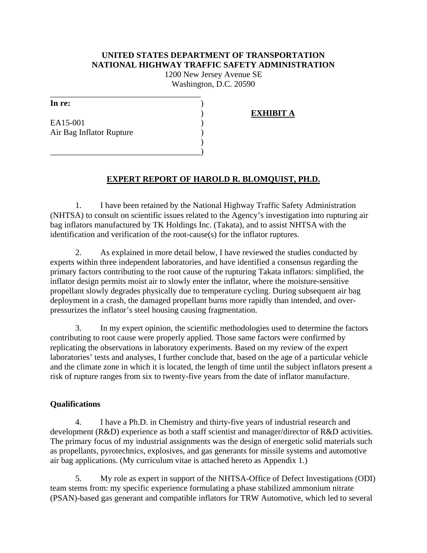# **UNITED STATES DEPARTMENT OF TRANSPORTATION NATIONAL HIGHWAY TRAFFIC SAFETY ADMINISTRATION**

1200 New Jersey Avenue SE Washington, D.C. 20590

| In re:                   |  |
|--------------------------|--|
|                          |  |
| EA15-001                 |  |
| Air Bag Inflator Rupture |  |
|                          |  |

\_\_\_\_\_\_\_\_\_\_\_\_\_\_\_\_\_\_\_\_\_\_\_\_\_\_\_\_\_\_\_\_\_\_\_\_

\_\_\_\_\_\_\_\_\_\_\_\_\_\_\_\_\_\_\_\_\_\_\_\_\_\_\_\_\_\_\_\_\_\_\_\_)

# ) **EXHIBIT A**

# **EXPERT REPORT OF HAROLD R. BLOMQUIST, PH.D.**

1. I have been retained by the National Highway Traffic Safety Administration (NHTSA) to consult on scientific issues related to the Agency's investigation into rupturing air bag inflators manufactured by TK Holdings Inc. (Takata), and to assist NHTSA with the identification and verification of the root-cause(s) for the inflator ruptures.

2. As explained in more detail below, I have reviewed the studies conducted by experts within three independent laboratories, and have identified a consensus regarding the primary factors contributing to the root cause of the rupturing Takata inflators: simplified, the inflator design permits moist air to slowly enter the inflator, where the moisture-sensitive propellant slowly degrades physically due to temperature cycling. During subsequent air bag deployment in a crash, the damaged propellant burns more rapidly than intended, and overpressurizes the inflator's steel housing causing fragmentation.

3. In my expert opinion, the scientific methodologies used to determine the factors contributing to root cause were properly applied. Those same factors were confirmed by replicating the observations in laboratory experiments. Based on my review of the expert laboratories' tests and analyses, I further conclude that, based on the age of a particular vehicle and the climate zone in which it is located, the length of time until the subject inflators present a risk of rupture ranges from six to twenty-five years from the date of inflator manufacture.

## **Qualifications**

4. I have a Ph.D. in Chemistry and thirty-five years of industrial research and development (R&D) experience as both a staff scientist and manager/director of R&D activities. The primary focus of my industrial assignments was the design of energetic solid materials such as propellants, pyrotechnics, explosives, and gas generants for missile systems and automotive air bag applications. (My curriculum vitae is attached hereto as Appendix 1.)

5. My role as expert in support of the NHTSA-Office of Defect Investigations (ODI) team stems from: my specific experience formulating a phase stabilized ammonium nitrate (PSAN)-based gas generant and compatible inflators for TRW Automotive, which led to several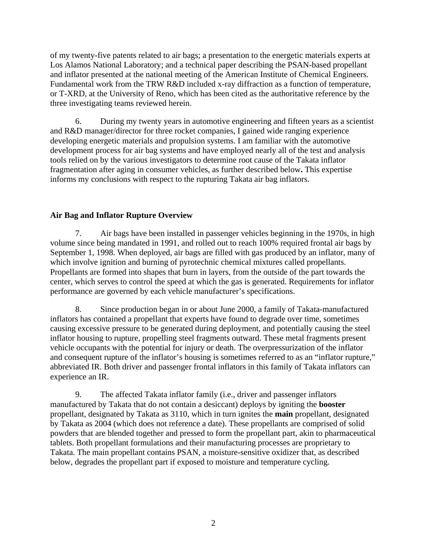of my twenty-five patents related to air bags; a presentation to the energetic materials experts at Los Alamos National Laboratory; and a technical paper describing the PSAN-based propellant and inflator presented at the national meeting of the American Institute of Chemical Engineers. Fundamental work from the TRW R&D included x-ray diffraction as a function of temperature, or T-XRD, at the University of Reno, which has been cited as the authoritative reference by the three investigating teams reviewed herein.

6. During my twenty years in automotive engineering and fifteen years as a scientist and R&D manager/director for three rocket companies, I gained wide ranging experience developing energetic materials and propulsion systems. I am familiar with the automotive development process for air bag systems and have employed nearly all of the test and analysis tools relied on by the various investigators to determine root cause of the Takata inflator fragmentation after aging in consumer vehicles, as further described below**.** This expertise informs my conclusions with respect to the rupturing Takata air bag inflators.

# **Air Bag and Inflator Rupture Overview**

7. Air bags have been installed in passenger vehicles beginning in the 1970s, in high volume since being mandated in 1991, and rolled out to reach 100% required frontal air bags by September 1, 1998. When deployed, air bags are filled with gas produced by an inflator, many of which involve ignition and burning of pyrotechnic chemical mixtures called propellants. Propellants are formed into shapes that burn in layers, from the outside of the part towards the center, which serves to control the speed at which the gas is generated. Requirements for inflator performance are governed by each vehicle manufacturer's specifications.

8. Since production began in or about June 2000, a family of Takata-manufactured inflators has contained a propellant that experts have found to degrade over time, sometimes causing excessive pressure to be generated during deployment, and potentially causing the steel inflator housing to rupture, propelling steel fragments outward. These metal fragments present vehicle occupants with the potential for injury or death. The overpressurization of the inflator and consequent rupture of the inflator's housing is sometimes referred to as an "inflator rupture," abbreviated IR. Both driver and passenger frontal inflators in this family of Takata inflators can experience an IR.

9. The affected Takata inflator family (i.e., driver and passenger inflators manufactured by Takata that do not contain a desiccant) deploys by igniting the **booster** propellant, designated by Takata as 3110, which in turn ignites the **main** propellant, designated by Takata as 2004 (which does not reference a date). These propellants are comprised of solid powders that are blended together and pressed to form the propellant part, akin to pharmaceutical tablets. Both propellant formulations and their manufacturing processes are proprietary to Takata. The main propellant contains PSAN, a moisture-sensitive oxidizer that, as described below, degrades the propellant part if exposed to moisture and temperature cycling.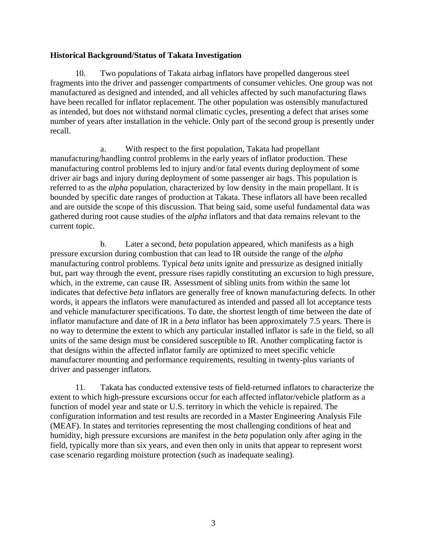# **Historical Background/Status of Takata Investigation**

10. Two populations of Takata airbag inflators have propelled dangerous steel fragments into the driver and passenger compartments of consumer vehicles. One group was not manufactured as designed and intended, and all vehicles affected by such manufacturing flaws have been recalled for inflator replacement. The other population was ostensibly manufactured as intended, but does not withstand normal climatic cycles, presenting a defect that arises some number of years after installation in the vehicle. Only part of the second group is presently under recall.

a. With respect to the first population, Takata had propellant manufacturing/handling control problems in the early years of inflator production. These manufacturing control problems led to injury and/or fatal events during deployment of some driver air bags and injury during deployment of some passenger air bags. This population is referred to as the *alpha* population, characterized by low density in the main propellant. It is bounded by specific date ranges of production at Takata. These inflators all have been recalled and are outside the scope of this discussion. That being said, some useful fundamental data was gathered during root cause studies of the *alpha* inflators and that data remains relevant to the current topic.

b. Later a second, *beta* population appeared, which manifests as a high pressure excursion during combustion that can lead to IR outside the range of the *alpha* manufacturing control problems. Typical *beta* units ignite and pressurize as designed initially but, part way through the event, pressure rises rapidly constituting an excursion to high pressure, which, in the extreme, can cause IR. Assessment of sibling units from within the same lot indicates that defective *beta* inflators are generally free of known manufacturing defects. In other words, it appears the inflators were manufactured as intended and passed all lot acceptance tests and vehicle manufacturer specifications. To date, the shortest length of time between the date of inflator manufacture and date of IR in a *beta* inflator has been approximately 7.5 years. There is no way to determine the extent to which any particular installed inflator is safe in the field, so all units of the same design must be considered susceptible to IR. Another complicating factor is that designs within the affected inflator family are optimized to meet specific vehicle manufacturer mounting and performance requirements, resulting in twenty-plus variants of driver and passenger inflators.

11. Takata has conducted extensive tests of field-returned inflators to characterize the extent to which high-pressure excursions occur for each affected inflator/vehicle platform as a function of model year and state or U.S. territory in which the vehicle is repaired. The configuration information and test results are recorded in a Master Engineering Analysis File (MEAF). In states and territories representing the most challenging conditions of heat and humidity, high pressure excursions are manifest in the *beta* population only after aging in the field, typically more than six years, and even then only in units that appear to represent worst case scenario regarding moisture protection (such as inadequate sealing).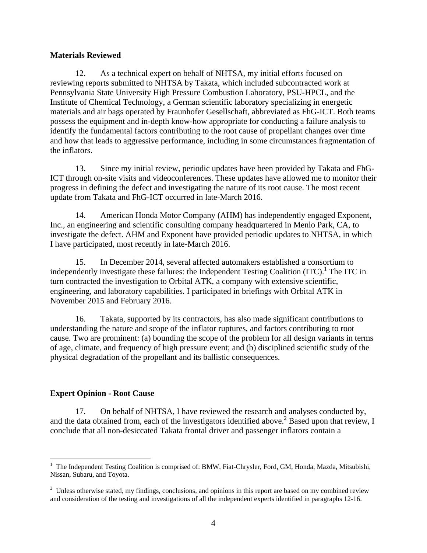## **Materials Reviewed**

12. As a technical expert on behalf of NHTSA, my initial efforts focused on reviewing reports submitted to NHTSA by Takata, which included subcontracted work at Pennsylvania State University High Pressure Combustion Laboratory, PSU-HPCL, and the Institute of Chemical Technology, a German scientific laboratory specializing in energetic materials and air bags operated by Fraunhofer Gesellschaft, abbreviated as FhG-ICT. Both teams possess the equipment and in-depth know-how appropriate for conducting a failure analysis to identify the fundamental factors contributing to the root cause of propellant changes over time and how that leads to aggressive performance, including in some circumstances fragmentation of the inflators.

13. Since my initial review, periodic updates have been provided by Takata and FhG-ICT through on-site visits and videoconferences. These updates have allowed me to monitor their progress in defining the defect and investigating the nature of its root cause. The most recent update from Takata and FhG-ICT occurred in late-March 2016.

14. American Honda Motor Company (AHM) has independently engaged Exponent, Inc., an engineering and scientific consulting company headquartered in Menlo Park, CA, to investigate the defect. AHM and Exponent have provided periodic updates to NHTSA, in which I have participated, most recently in late-March 2016.

15. In December 2014, several affected automakers established a consortium to independently investigate these failures: the Independent Testing Coalition  $(TTC)^1$ . The ITC in turn contracted the investigation to Orbital ATK, a company with extensive scientific, engineering, and laboratory capabilities. I participated in briefings with Orbital ATK in November 2015 and February 2016.

16. Takata, supported by its contractors, has also made significant contributions to understanding the nature and scope of the inflator ruptures, and factors contributing to root cause. Two are prominent: (a) bounding the scope of the problem for all design variants in terms of age, climate, and frequency of high pressure event; and (b) disciplined scientific study of the physical degradation of the propellant and its ballistic consequences.

# **Expert Opinion - Root Cause**

17. On behalf of NHTSA, I have reviewed the research and analyses conducted by, and the data obtained from, each of the investigators identified above.<sup>2</sup> Based upon that review, I conclude that all non-desiccated Takata frontal driver and passenger inflators contain a

<sup>&</sup>lt;sup>1</sup> The Independent Testing Coalition is comprised of: BMW, Fiat-Chrysler, Ford, GM, Honda, Mazda, Mitsubishi, Nissan, Subaru, and Toyota.

 $2$  Unless otherwise stated, my findings, conclusions, and opinions in this report are based on my combined review and consideration of the testing and investigations of all the independent experts identified in paragraphs 12-16.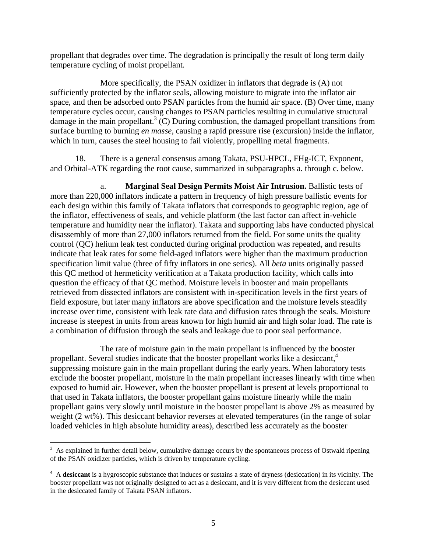propellant that degrades over time. The degradation is principally the result of long term daily temperature cycling of moist propellant.

More specifically, the PSAN oxidizer in inflators that degrade is (A) not sufficiently protected by the inflator seals, allowing moisture to migrate into the inflator air space, and then be adsorbed onto PSAN particles from the humid air space. (B) Over time, many temperature cycles occur, causing changes to PSAN particles resulting in cumulative structural damage in the main propellant.<sup>3</sup> (C) During combustion, the damaged propellant transitions from surface burning to burning *en masse,* causing a rapid pressure rise (excursion) inside the inflator, which in turn, causes the steel housing to fail violently, propelling metal fragments.

18. There is a general consensus among Takata, PSU-HPCL, FHg-ICT, Exponent, and Orbital-ATK regarding the root cause, summarized in subparagraphs a. through c. below.

a. **Marginal Seal Design Permits Moist Air Intrusion.** Ballistic tests of more than 220,000 inflators indicate a pattern in frequency of high pressure ballistic events for each design within this family of Takata inflators that corresponds to geographic region, age of the inflator, effectiveness of seals, and vehicle platform (the last factor can affect in-vehicle temperature and humidity near the inflator). Takata and supporting labs have conducted physical disassembly of more than 27,000 inflators returned from the field. For some units the quality control (QC) helium leak test conducted during original production was repeated, and results indicate that leak rates for some field-aged inflators were higher than the maximum production specification limit value (three of fifty inflators in one series). All *beta* units originally passed this QC method of hermeticity verification at a Takata production facility, which calls into question the efficacy of that QC method. Moisture levels in booster and main propellants retrieved from dissected inflators are consistent with in-specification levels in the first years of field exposure, but later many inflators are above specification and the moisture levels steadily increase over time, consistent with leak rate data and diffusion rates through the seals. Moisture increase is steepest in units from areas known for high humid air and high solar load. The rate is a combination of diffusion through the seals and leakage due to poor seal performance.

The rate of moisture gain in the main propellant is influenced by the booster propellant. Several studies indicate that the booster propellant works like a desiccant,<sup>4</sup> suppressing moisture gain in the main propellant during the early years. When laboratory tests exclude the booster propellant, moisture in the main propellant increases linearly with time when exposed to humid air. However, when the booster propellant is present at levels proportional to that used in Takata inflators, the booster propellant gains moisture linearly while the main propellant gains very slowly until moisture in the booster propellant is above 2% as measured by weight (2 wt%). This desiccant behavior reverses at elevated temperatures (in the range of solar loaded vehicles in high absolute humidity areas), described less accurately as the booster

  $3\,$  As explained in further detail below, cumulative damage occurs by the spontaneous process of Ostwald ripening of the PSAN oxidizer particles, which is driven by temperature cycling.

<sup>&</sup>lt;sup>4</sup> A **desiccant** is a hygroscopic substance that induces or sustains a state of dryness (desiccation) in its vicinity. The booster propellant was not originally designed to act as a desiccant, and it is very different from the desiccant used in the desiccated family of Takata PSAN inflators.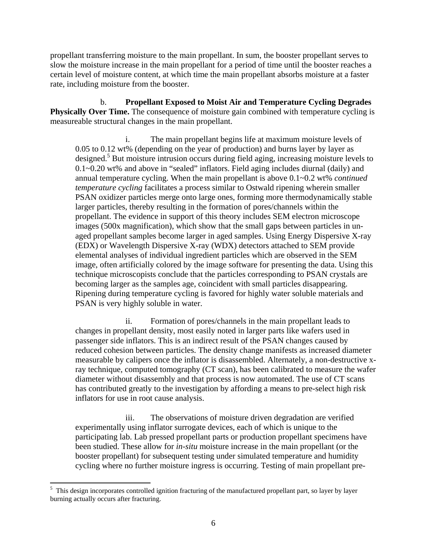propellant transferring moisture to the main propellant. In sum, the booster propellant serves to slow the moisture increase in the main propellant for a period of time until the booster reaches a certain level of moisture content, at which time the main propellant absorbs moisture at a faster rate, including moisture from the booster.

b. **Propellant Exposed to Moist Air and Temperature Cycling Degrades Physically Over Time.** The consequence of moisture gain combined with temperature cycling is measureable structural changes in the main propellant.

i. The main propellant begins life at maximum moisture levels of 0.05 to 0.12 wt% (depending on the year of production) and burns layer by layer as designed.<sup>5</sup> But moisture intrusion occurs during field aging, increasing moisture levels to 0.1~0.20 wt% and above in "sealed" inflators. Field aging includes diurnal (daily) and annual temperature cycling. When the main propellant is above 0.1~0.2 wt% *continued temperature cycling* facilitates a process similar to Ostwald ripening wherein smaller PSAN oxidizer particles merge onto large ones, forming more thermodynamically stable larger particles, thereby resulting in the formation of pores/channels within the propellant. The evidence in support of this theory includes SEM electron microscope images (500x magnification), which show that the small gaps between particles in unaged propellant samples become larger in aged samples. Using Energy Dispersive X-ray (EDX) or Wavelength Dispersive X-ray (WDX) detectors attached to SEM provide elemental analyses of individual ingredient particles which are observed in the SEM image, often artificially colored by the image software for presenting the data. Using this technique microscopists conclude that the particles corresponding to PSAN crystals are becoming larger as the samples age, coincident with small particles disappearing. Ripening during temperature cycling is favored for highly water soluble materials and PSAN is very highly soluble in water.

ii. Formation of pores/channels in the main propellant leads to changes in propellant density, most easily noted in larger parts like wafers used in passenger side inflators. This is an indirect result of the PSAN changes caused by reduced cohesion between particles. The density change manifests as increased diameter measurable by calipers once the inflator is disassembled. Alternately, a non-destructive xray technique, computed tomography (CT scan), has been calibrated to measure the wafer diameter without disassembly and that process is now automated. The use of CT scans has contributed greatly to the investigation by affording a means to pre-select high risk inflators for use in root cause analysis.

iii. The observations of moisture driven degradation are verified experimentally using inflator surrogate devices, each of which is unique to the participating lab. Lab pressed propellant parts or production propellant specimens have been studied. These allow for *in-situ* moisture increase in the main propellant (or the booster propellant) for subsequent testing under simulated temperature and humidity cycling where no further moisture ingress is occurring. Testing of main propellant pre-

<sup>5</sup> This design incorporates controlled ignition fracturing of the manufactured propellant part, so layer by layer burning actually occurs after fracturing.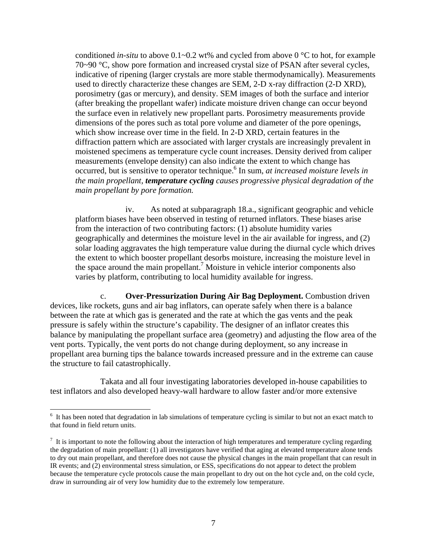conditioned *in-situ* to above  $0.1 - 0.2$  wt% and cycled from above  $0^{\circ}$ C to hot, for example 70~90 °C, show pore formation and increased crystal size of PSAN after several cycles, indicative of ripening (larger crystals are more stable thermodynamically). Measurements used to directly characterize these changes are SEM, 2-D x-ray diffraction (2-D XRD), porosimetry (gas or mercury), and density. SEM images of both the surface and interior (after breaking the propellant wafer) indicate moisture driven change can occur beyond the surface even in relatively new propellant parts. Porosimetry measurements provide dimensions of the pores such as total pore volume and diameter of the pore openings, which show increase over time in the field. In 2-D XRD, certain features in the diffraction pattern which are associated with larger crystals are increasingly prevalent in moistened specimens as temperature cycle count increases. Density derived from caliper measurements (envelope density) can also indicate the extent to which change has occurred, but is sensitive to operator technique.<sup>6</sup> In sum, *at increased moisture levels in the main propellant, temperature cycling causes progressive physical degradation of the main propellant by pore formation.*

iv. As noted at subparagraph 18.a., significant geographic and vehicle platform biases have been observed in testing of returned inflators. These biases arise from the interaction of two contributing factors: (1) absolute humidity varies geographically and determines the moisture level in the air available for ingress, and (2) solar loading aggravates the high temperature value during the diurnal cycle which drives the extent to which booster propellant desorbs moisture, increasing the moisture level in the space around the main propellant.<sup>7</sup> Moisture in vehicle interior components also varies by platform, contributing to local humidity available for ingress.

c. **Over-Pressurization During Air Bag Deployment.** Combustion driven devices, like rockets, guns and air bag inflators, can operate safely when there is a balance between the rate at which gas is generated and the rate at which the gas vents and the peak pressure is safely within the structure's capability. The designer of an inflator creates this balance by manipulating the propellant surface area (geometry) and adjusting the flow area of the vent ports. Typically, the vent ports do not change during deployment, so any increase in propellant area burning tips the balance towards increased pressure and in the extreme can cause the structure to fail catastrophically.

Takata and all four investigating laboratories developed in-house capabilities to test inflators and also developed heavy-wall hardware to allow faster and/or more extensive

<sup>&</sup>lt;sup>6</sup> It has been noted that degradation in lab simulations of temperature cycling is similar to but not an exact match to that found in field return units.

 $<sup>7</sup>$  It is important to note the following about the interaction of high temperatures and temperature cycling regarding</sup> the degradation of main propellant: (1) all investigators have verified that aging at elevated temperature alone tends to dry out main propellant, and therefore does not cause the physical changes in the main propellant that can result in IR events; and (2) environmental stress simulation, or ESS, specifications do not appear to detect the problem because the temperature cycle protocols cause the main propellant to dry out on the hot cycle and, on the cold cycle, draw in surrounding air of very low humidity due to the extremely low temperature.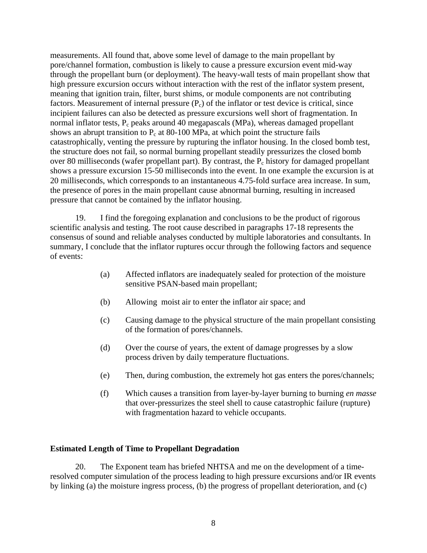measurements. All found that, above some level of damage to the main propellant by pore/channel formation, combustion is likely to cause a pressure excursion event mid-way through the propellant burn (or deployment). The heavy-wall tests of main propellant show that high pressure excursion occurs without interaction with the rest of the inflator system present, meaning that ignition train, filter, burst shims, or module components are not contributing factors. Measurement of internal pressure  $(P_c)$  of the inflator or test device is critical, since incipient failures can also be detected as pressure excursions well short of fragmentation. In normal inflator tests,  $P_c$  peaks around 40 megapascals (MPa), whereas damaged propellant shows an abrupt transition to  $P_c$  at 80-100 MPa, at which point the structure fails catastrophically, venting the pressure by rupturing the inflator housing. In the closed bomb test, the structure does not fail, so normal burning propellant steadily pressurizes the closed bomb over 80 milliseconds (wafer propellant part). By contrast, the  $P_c$  history for damaged propellant shows a pressure excursion 15-50 milliseconds into the event. In one example the excursion is at 20 milliseconds, which corresponds to an instantaneous 4.75-fold surface area increase. In sum, the presence of pores in the main propellant cause abnormal burning, resulting in increased pressure that cannot be contained by the inflator housing.

19. I find the foregoing explanation and conclusions to be the product of rigorous scientific analysis and testing. The root cause described in paragraphs 17-18 represents the consensus of sound and reliable analyses conducted by multiple laboratories and consultants. In summary, I conclude that the inflator ruptures occur through the following factors and sequence of events:

- (a) Affected inflators are inadequately sealed for protection of the moisture sensitive PSAN-based main propellant;
- (b) Allowing moist air to enter the inflator air space; and
- (c) Causing damage to the physical structure of the main propellant consisting of the formation of pores/channels.
- (d) Over the course of years, the extent of damage progresses by a slow process driven by daily temperature fluctuations.
- (e) Then, during combustion, the extremely hot gas enters the pores/channels;
- (f) Which causes a transition from layer-by-layer burning to burning *en masse* that over-pressurizes the steel shell to cause catastrophic failure (rupture) with fragmentation hazard to vehicle occupants.

## **Estimated Length of Time to Propellant Degradation**

20. The Exponent team has briefed NHTSA and me on the development of a timeresolved computer simulation of the process leading to high pressure excursions and/or IR events by linking (a) the moisture ingress process, (b) the progress of propellant deterioration, and (c)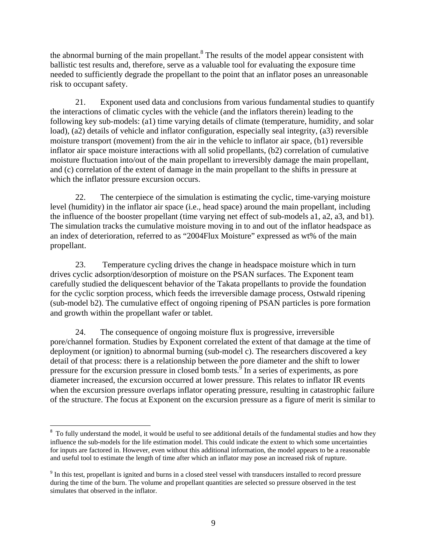the abnormal burning of the main propellant.<sup>8</sup> The results of the model appear consistent with ballistic test results and, therefore, serve as a valuable tool for evaluating the exposure time needed to sufficiently degrade the propellant to the point that an inflator poses an unreasonable risk to occupant safety.

21. Exponent used data and conclusions from various fundamental studies to quantify the interactions of climatic cycles with the vehicle (and the inflators therein) leading to the following key sub-models: (a1) time varying details of climate (temperature, humidity, and solar load), (a2) details of vehicle and inflator configuration, especially seal integrity, (a3) reversible moisture transport (movement) from the air in the vehicle to inflator air space, (b1) reversible inflator air space moisture interactions with all solid propellants, (b2) correlation of cumulative moisture fluctuation into/out of the main propellant to irreversibly damage the main propellant, and (c) correlation of the extent of damage in the main propellant to the shifts in pressure at which the inflator pressure excursion occurs.

22. The centerpiece of the simulation is estimating the cyclic, time-varying moisture level (humidity) in the inflator air space (i.e., head space) around the main propellant, including the influence of the booster propellant (time varying net effect of sub-models a1, a2, a3, and b1). The simulation tracks the cumulative moisture moving in to and out of the inflator headspace as an index of deterioration, referred to as "2004Flux Moisture" expressed as wt% of the main propellant.

23. Temperature cycling drives the change in headspace moisture which in turn drives cyclic adsorption/desorption of moisture on the PSAN surfaces. The Exponent team carefully studied the deliquescent behavior of the Takata propellants to provide the foundation for the cyclic sorption process, which feeds the irreversible damage process, Ostwald ripening (sub-model b2). The cumulative effect of ongoing ripening of PSAN particles is pore formation and growth within the propellant wafer or tablet.

24. The consequence of ongoing moisture flux is progressive, irreversible pore/channel formation. Studies by Exponent correlated the extent of that damage at the time of deployment (or ignition) to abnormal burning (sub-model c). The researchers discovered a key detail of that process: there is a relationship between the pore diameter and the shift to lower pressure for the excursion pressure in closed bomb tests. In a series of experiments, as pore diameter increased, the excursion occurred at lower pressure. This relates to inflator IR events when the excursion pressure overlaps inflator operating pressure, resulting in catastrophic failure of the structure. The focus at Exponent on the excursion pressure as a figure of merit is similar to

<sup>&</sup>lt;sup>8</sup> To fully understand the model, it would be useful to see additional details of the fundamental studies and how they influence the sub-models for the life estimation model. This could indicate the extent to which some uncertainties for inputs are factored in. However, even without this additional information, the model appears to be a reasonable and useful tool to estimate the length of time after which an inflator may pose an increased risk of rupture.

 $9<sup>9</sup>$  In this test, propellant is ignited and burns in a closed steel vessel with transducers installed to record pressure during the time of the burn. The volume and propellant quantities are selected so pressure observed in the test simulates that observed in the inflator.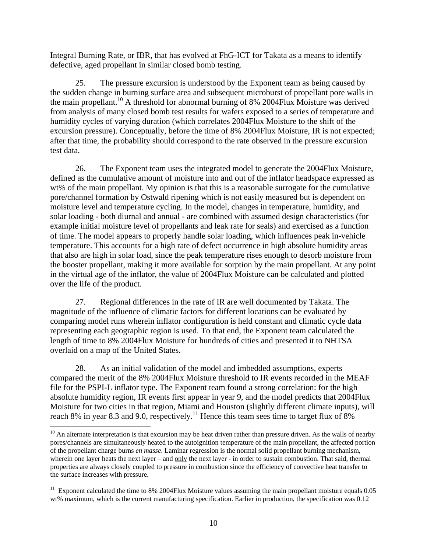Integral Burning Rate, or IBR, that has evolved at FhG-ICT for Takata as a means to identify defective, aged propellant in similar closed bomb testing.

25. The pressure excursion is understood by the Exponent team as being caused by the sudden change in burning surface area and subsequent microburst of propellant pore walls in the main propellant.<sup>10</sup> A threshold for abnormal burning of 8% 2004Flux Moisture was derived from analysis of many closed bomb test results for wafers exposed to a series of temperature and humidity cycles of varying duration (which correlates 2004Flux Moisture to the shift of the excursion pressure). Conceptually, before the time of 8% 2004Flux Moisture, IR is not expected; after that time, the probability should correspond to the rate observed in the pressure excursion test data.

26. The Exponent team uses the integrated model to generate the 2004Flux Moisture, defined as the cumulative amount of moisture into and out of the inflator headspace expressed as wt% of the main propellant. My opinion is that this is a reasonable surrogate for the cumulative pore/channel formation by Ostwald ripening which is not easily measured but is dependent on moisture level and temperature cycling. In the model, changes in temperature, humidity, and solar loading - both diurnal and annual - are combined with assumed design characteristics (for example initial moisture level of propellants and leak rate for seals) and exercised as a function of time. The model appears to properly handle solar loading, which influences peak in-vehicle temperature. This accounts for a high rate of defect occurrence in high absolute humidity areas that also are high in solar load, since the peak temperature rises enough to desorb moisture from the booster propellant, making it more available for sorption by the main propellant. At any point in the virtual age of the inflator, the value of 2004Flux Moisture can be calculated and plotted over the life of the product.

27. Regional differences in the rate of IR are well documented by Takata. The magnitude of the influence of climatic factors for different locations can be evaluated by comparing model runs wherein inflator configuration is held constant and climatic cycle data representing each geographic region is used. To that end, the Exponent team calculated the length of time to 8% 2004Flux Moisture for hundreds of cities and presented it to NHTSA overlaid on a map of the United States.

28. As an initial validation of the model and imbedded assumptions, experts compared the merit of the 8% 2004Flux Moisture threshold to IR events recorded in the MEAF file for the PSPI-L inflator type. The Exponent team found a strong correlation: for the high absolute humidity region, IR events first appear in year 9, and the model predicts that 2004Flux Moisture for two cities in that region, Miami and Houston (slightly different climate inputs), will reach 8% in year 8.3 and 9.0, respectively.<sup>11</sup> Hence this team sees time to target flux of 8%

 $10$  An alternate interpretation is that excursion may be heat driven rather than pressure driven. As the walls of nearby pores/channels are simultaneously heated to the autoignition temperature of the main propellant, the affected portion of the propellant charge burns *en masse*. Laminar regression is the normal solid propellant burning mechanism, wherein one layer heats the next layer – and only the next layer - in order to sustain combustion. That said, thermal properties are always closely coupled to pressure in combustion since the efficiency of convective heat transfer to the surface increases with pressure.

 $11$  Exponent calculated the time to 8% 2004Flux Moisture values assuming the main propellant moisture equals 0.05 wt% maximum, which is the current manufacturing specification. Earlier in production, the specification was 0.12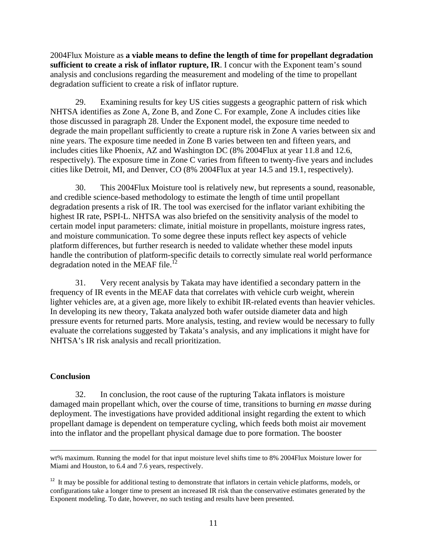2004Flux Moisture as **a viable means to define the length of time for propellant degradation sufficient to create a risk of inflator rupture, IR**. I concur with the Exponent team's sound analysis and conclusions regarding the measurement and modeling of the time to propellant degradation sufficient to create a risk of inflator rupture.

29. Examining results for key US cities suggests a geographic pattern of risk which NHTSA identifies as Zone A, Zone B, and Zone C. For example, Zone A includes cities like those discussed in paragraph 28. Under the Exponent model, the exposure time needed to degrade the main propellant sufficiently to create a rupture risk in Zone A varies between six and nine years. The exposure time needed in Zone B varies between ten and fifteen years, and includes cities like Phoenix, AZ and Washington DC (8% 2004Flux at year 11.8 and 12.6, respectively). The exposure time in Zone C varies from fifteen to twenty-five years and includes cities like Detroit, MI, and Denver, CO (8% 2004Flux at year 14.5 and 19.1, respectively).

30. This 2004Flux Moisture tool is relatively new, but represents a sound, reasonable, and credible science-based methodology to estimate the length of time until propellant degradation presents a risk of IR. The tool was exercised for the inflator variant exhibiting the highest IR rate, PSPI-L. NHTSA was also briefed on the sensitivity analysis of the model to certain model input parameters: climate, initial moisture in propellants, moisture ingress rates, and moisture communication. To some degree these inputs reflect key aspects of vehicle platform differences, but further research is needed to validate whether these model inputs handle the contribution of platform-specific details to correctly simulate real world performance degradation noted in the MEAF file.<sup>12</sup>

31. Very recent analysis by Takata may have identified a secondary pattern in the frequency of IR events in the MEAF data that correlates with vehicle curb weight, wherein lighter vehicles are, at a given age, more likely to exhibit IR-related events than heavier vehicles. In developing its new theory, Takata analyzed both wafer outside diameter data and high pressure events for returned parts. More analysis, testing, and review would be necessary to fully evaluate the correlations suggested by Takata's analysis, and any implications it might have for NHTSA's IR risk analysis and recall prioritization.

## **Conclusion**

32. In conclusion, the root cause of the rupturing Takata inflators is moisture damaged main propellant which, over the course of time, transitions to burning *en masse* during deployment. The investigations have provided additional insight regarding the extent to which propellant damage is dependent on temperature cycling, which feeds both moist air movement into the inflator and the propellant physical damage due to pore formation. The booster

<sup>&</sup>lt;u> 1989 - Johann Stein, marwolaethau a gweledydd a ganlad y ganlad y ganlad y ganlad y ganlad y ganlad y ganlad</u> wt% maximum. Running the model for that input moisture level shifts time to 8% 2004Flux Moisture lower for Miami and Houston, to 6.4 and 7.6 years, respectively.

<sup>&</sup>lt;sup>12</sup> It may be possible for additional testing to demonstrate that inflators in certain vehicle platforms, models, or configurations take a longer time to present an increased IR risk than the conservative estimates generated by the Exponent modeling. To date, however, no such testing and results have been presented.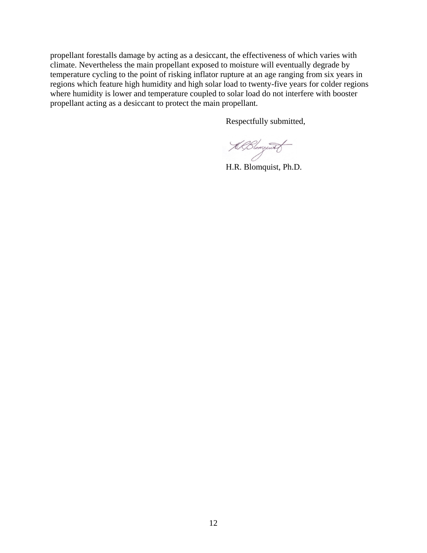propellant forestalls damage by acting as a desiccant, the effectiveness of which varies with climate. Nevertheless the main propellant exposed to moisture will eventually degrade by temperature cycling to the point of risking inflator rupture at an age ranging from six years in regions which feature high humidity and high solar load to twenty-five years for colder regions where humidity is lower and temperature coupled to solar load do not interfere with booster propellant acting as a desiccant to protect the main propellant.

Respectfully submitted,

KlBlongwith

H.R. Blomquist, Ph.D.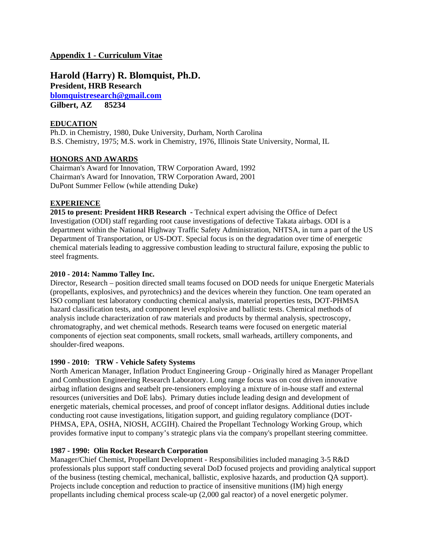## **Appendix 1 - Curriculum Vitae**

**Harold (Harry) R. Blomquist, Ph.D. President, HRB Research blomquistresearch@gmail.com Gilbert, AZ 85234** 

### **EDUCATION**

Ph.D. in Chemistry, 1980, Duke University, Durham, North Carolina B.S. Chemistry, 1975; M.S. work in Chemistry, 1976, Illinois State University, Normal, IL

## **HONORS AND AWARDS**

Chairman's Award for Innovation, TRW Corporation Award, 1992 Chairman's Award for Innovation, TRW Corporation Award, 2001 DuPont Summer Fellow (while attending Duke)

### **EXPERIENCE**

**2015 to present: President HRB Research -** Technical expert advising the Office of Defect Investigation (ODI) staff regarding root cause investigations of defective Takata airbags. ODI is a department within the National Highway Traffic Safety Administration, NHTSA, in turn a part of the US Department of Transportation, or US-DOT. Special focus is on the degradation over time of energetic chemical materials leading to aggressive combustion leading to structural failure, exposing the public to steel fragments.

### **2010 - 2014: Nammo Talley Inc.**

Director, Research – position directed small teams focused on DOD needs for unique Energetic Materials (propellants, explosives, and pyrotechnics) and the devices wherein they function. One team operated an ISO compliant test laboratory conducting chemical analysis, material properties tests, DOT-PHMSA hazard classification tests, and component level explosive and ballistic tests. Chemical methods of analysis include characterization of raw materials and products by thermal analysis, spectroscopy, chromatography, and wet chemical methods. Research teams were focused on energetic material components of ejection seat components, small rockets, small warheads, artillery components, and shoulder-fired weapons.

### **1990 - 2010: TRW - Vehicle Safety Systems**

North American Manager, Inflation Product Engineering Group - Originally hired as Manager Propellant and Combustion Engineering Research Laboratory. Long range focus was on cost driven innovative airbag inflation designs and seatbelt pre-tensioners employing a mixture of in-house staff and external resources (universities and DoE labs). Primary duties include leading design and development of energetic materials, chemical processes, and proof of concept inflator designs. Additional duties include conducting root cause investigations, litigation support, and guiding regulatory compliance (DOT-PHMSA, EPA, OSHA, NIOSH, ACGIH). Chaired the Propellant Technology Working Group, which provides formative input to company's strategic plans via the company's propellant steering committee.

### **1987 - 1990: Olin Rocket Research Corporation**

Manager/Chief Chemist, Propellant Development - Responsibilities included managing 3-5 R&D professionals plus support staff conducting several DoD focused projects and providing analytical support of the business (testing chemical, mechanical, ballistic, explosive hazards, and production QA support). Projects include conception and reduction to practice of insensitive munitions (IM) high energy propellants including chemical process scale-up (2,000 gal reactor) of a novel energetic polymer.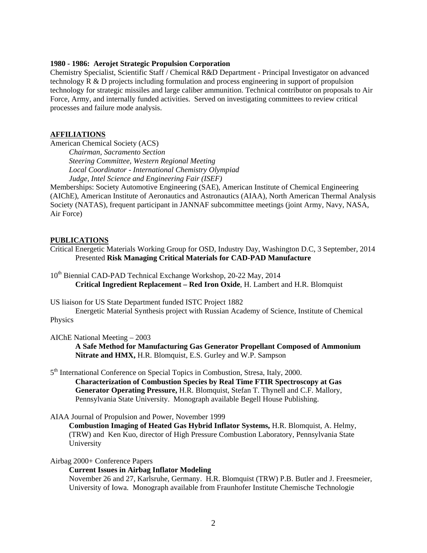#### **1980 - 1986: Aerojet Strategic Propulsion Corporation**

Chemistry Specialist, Scientific Staff / Chemical R&D Department - Principal Investigator on advanced technology R & D projects including formulation and process engineering in support of propulsion technology for strategic missiles and large caliber ammunition. Technical contributor on proposals to Air Force, Army, and internally funded activities. Served on investigating committees to review critical processes and failure mode analysis.

### **AFFILIATIONS**

American Chemical Society (ACS)

*Chairman, Sacramento Section Steering Committee, Western Regional Meeting Local Coordinator - International Chemistry Olympiad Judge, Intel Science and Engineering Fair (ISEF)* 

Memberships: Society Automotive Engineering (SAE), American Institute of Chemical Engineering (AIChE), American Institute of Aeronautics and Astronautics (AIAA), North American Thermal Analysis Society (NATAS), frequent participant in JANNAF subcommittee meetings (joint Army, Navy, NASA, Air Force)

#### **PUBLICATIONS**

Critical Energetic Materials Working Group for OSD, Industry Day, Washington D.C, 3 September, 2014 Presented **Risk Managing Critical Materials for CAD-PAD Manufacture**

10<sup>th</sup> Biennial CAD-PAD Technical Exchange Workshop, 20-22 May, 2014 **Critical Ingredient Replacement – Red Iron Oxide**, H. Lambert and H.R. Blomquist

US liaison for US State Department funded ISTC Project 1882

Energetic Material Synthesis project with Russian Academy of Science, Institute of Chemical Physics

AIChE National Meeting – 2003

**A Safe Method for Manufacturing Gas Generator Propellant Composed of Ammonium Nitrate and HMX,** H.R. Blomquist, E.S. Gurley and W.P. Sampson

5<sup>th</sup> International Conference on Special Topics in Combustion, Stresa, Italy, 2000. **Characterization of Combustion Species by Real Time FTIR Spectroscopy at Gas** 

**Generator Operating Pressure,** H.R. Blomquist, Stefan T. Thynell and C.F. Mallory, Pennsylvania State University. Monograph available Begell House Publishing.

AIAA Journal of Propulsion and Power, November 1999

**Combustion Imaging of Heated Gas Hybrid Inflator Systems,** H.R. Blomquist, A. Helmy, (TRW) and Ken Kuo, director of High Pressure Combustion Laboratory, Pennsylvania State University

Airbag 2000+ Conference Papers

#### **Current Issues in Airbag Inflator Modeling**

November 26 and 27, Karlsruhe, Germany. H.R. Blomquist (TRW) P.B. Butler and J. Freesmeier, University of Iowa*.* Monograph available from Fraunhofer Institute Chemische Technologie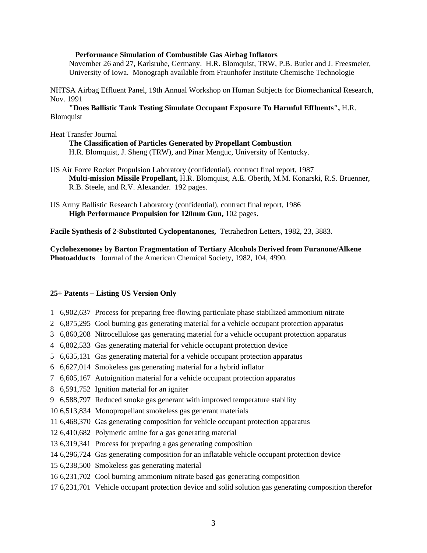#### **Performance Simulation of Combustible Gas Airbag Inflators**

November 26 and 27, Karlsruhe, Germany. H.R. Blomquist, TRW, P.B. Butler and J. Freesmeier, University of Iowa.Monograph available from Fraunhofer Institute Chemische Technologie

NHTSA Airbag Effluent Panel, 19th Annual Workshop on Human Subjects for Biomechanical Research, Nov. 1991

 **"Does Ballistic Tank Testing Simulate Occupant Exposure To Harmful Effluents",** H.R. Blomquist

#### Heat Transfer Journal

 **The Classification of Particles Generated by Propellant Combustion** H.R. Blomquist, J. Sheng (TRW), and Pinar Menguc, University of Kentucky.

- US Air Force Rocket Propulsion Laboratory (confidential), contract final report, 1987 **Multi-mission Missile Propellant,** H.R. Blomquist, A.E. Oberth, M.M. Konarski, R.S. Bruenner, R.B. Steele, and R.V. Alexander. 192 pages.
- US Army Ballistic Research Laboratory (confidential), contract final report, 1986 **High Performance Propulsion for 120mm Gun,** 102 pages.

**Facile Synthesis of 2-Substituted Cyclopentanones,** Tetrahedron Letters, 1982, 23, 3883.

**Cyclohexenones by Barton Fragmentation of Tertiary Alcohols Derived from Furanone/Alkene Photoadducts** Journal of the American Chemical Society, 1982, 104, 4990.

#### **25+ Patents – Listing US Version Only**

- 1 6,902,637 Process for preparing free-flowing particulate phase stabilized ammonium nitrate
- 2 6,875,295 Cool burning gas generating material for a vehicle occupant protection apparatus
- 3 6,860,208 Nitrocellulose gas generating material for a vehicle occupant protection apparatus
- 4 6,802,533 Gas generating material for vehicle occupant protection device
- 5 6,635,131 Gas generating material for a vehicle occupant protection apparatus
- 6 6,627,014 Smokeless gas generating material for a hybrid inflator
- 7 6,605,167 Autoignition material for a vehicle occupant protection apparatus
- 8 6,591,752 Ignition material for an igniter
- 9 6,588,797 Reduced smoke gas generant with improved temperature stability
- 10 6,513,834 Monopropellant smokeless gas generant materials
- 11 6,468,370 Gas generating composition for vehicle occupant protection apparatus
- 12 6,410,682 Polymeric amine for a gas generating material
- 13 6,319,341 Process for preparing a gas generating composition
- 14 6,296,724 Gas generating composition for an inflatable vehicle occupant protection device
- 15 6,238,500 Smokeless gas generating material
- 16 6,231,702 Cool burning ammonium nitrate based gas generating composition
- 17 6,231,701 Vehicle occupant protection device and solid solution gas generating composition therefor